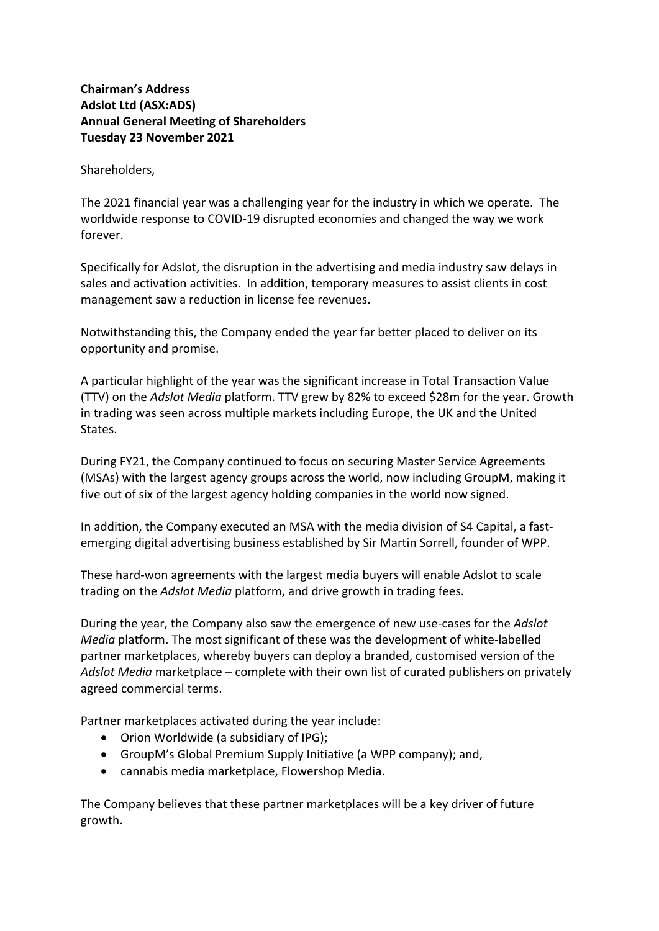## **Chairman's Address Adslot Ltd (ASX:ADS) Annual General Meeting of Shareholders Tuesday 23 November 2021**

Shareholders,

The 2021 financial year was a challenging year for the industry in which we operate. The worldwide response to COVID-19 disrupted economies and changed the way we work forever.

Specifically for Adslot, the disruption in the advertising and media industry saw delays in sales and activation activities. In addition, temporary measures to assist clients in cost management saw a reduction in license fee revenues.

Notwithstanding this, the Company ended the year far better placed to deliver on its opportunity and promise.

A particular highlight of the year was the significant increase in Total Transaction Value (TTV) on the *Adslot Media* platform. TTV grew by 82% to exceed \$28m for the year. Growth in trading was seen across multiple markets including Europe, the UK and the United States.

During FY21, the Company continued to focus on securing Master Service Agreements (MSAs) with the largest agency groups across the world, now including GroupM, making it five out of six of the largest agency holding companies in the world now signed.

In addition, the Company executed an MSA with the media division of S4 Capital, a fastemerging digital advertising business established by Sir Martin Sorrell, founder of WPP.

These hard-won agreements with the largest media buyers will enable Adslot to scale trading on the *Adslot Media* platform, and drive growth in trading fees.

During the year, the Company also saw the emergence of new use-cases for the *Adslot Media* platform. The most significant of these was the development of white-labelled partner marketplaces, whereby buyers can deploy a branded, customised version of the *Adslot Media* marketplace – complete with their own list of curated publishers on privately agreed commercial terms.

Partner marketplaces activated during the year include:

- Orion Worldwide (a subsidiary of IPG);
- GroupM's Global Premium Supply Initiative (a WPP company); and,
- cannabis media marketplace, Flowershop Media.

The Company believes that these partner marketplaces will be a key driver of future growth.